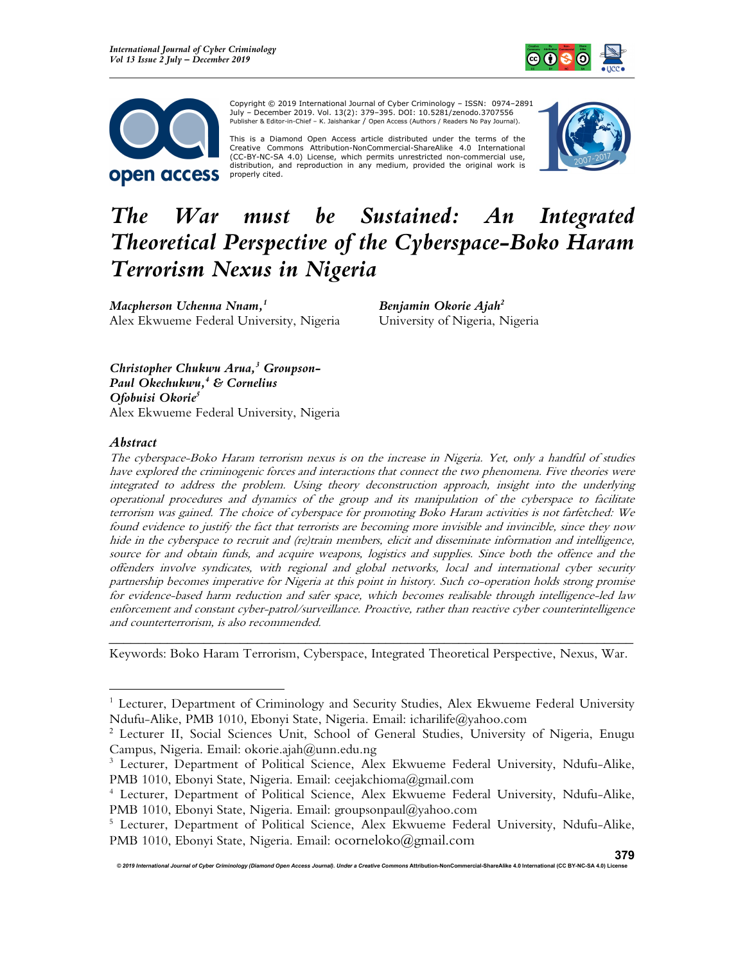



Copyright © 2019 International Journal of Cyber Criminology – ISSN: 0974–2891 July – December 2019. Vol. 13(2): 379–395. DOI: 10.5281/zenodo.3707556 Publisher & Editor-in-Chief – K. Jaishankar / Open Access (Authors / Readers No Pay Journal).

This is a Diamond Open Access article distributed under the terms of the Creative Commons Attribution-NonCommercial-ShareAlike 4.0 International (CC-BY-NC-SA 4.0) License, which permits unrestricted non-commercial use, distribution, and reproduction in any medium, provided the original work is properly cited.



# The War must be Sustained: An Integrated Theoretical Perspective of the Cyberspace-Boko Haram Terrorism Nexus in Nigeria

Macpherson Uchenna Nnam, $^{\rm 1}$ Alex Ekwueme Federal University, Nigeria

Benjamin Okorie Ajah<sup>2</sup> University of Nigeria, Nigeria

Christopher Chukwu Arua, $3$  Groupson-Paul Okechukwu,<sup>4</sup> & Cornelius Ofobuisi Okorie<sup>5</sup> Alex Ekwueme Federal University, Nigeria

#### Abstract

The cyberspace-Boko Haram terrorism nexus is on the increase in Nigeria. Yet, only a handful of studies have explored the criminogenic forces and interactions that connect the two phenomena. Five theories were integrated to address the problem. Using theory deconstruction approach, insight into the underlying operational procedures and dynamics of the group and its manipulation of the cyberspace to facilitate terrorism was gained. The choice of cyberspace for promoting Boko Haram activities is not farfetched: We found evidence to justify the fact that terrorists are becoming more invisible and invincible, since they now hide in the cyberspace to recruit and (re)train members, elicit and disseminate information and intelligence, source for and obtain funds, and acquire weapons, logistics and supplies. Since both the offence and the offenders involve syndicates, with regional and global networks, local and international cyber security partnership becomes imperative for Nigeria at this point in history. Such co-operation holds strong promise for evidence-based harm reduction and safer space, which becomes realisable through intelligence-led law enforcement and constant cyber-patrol/surveillance. Proactive, rather than reactive cyber counterintelligence and counterterrorism, is also recommended.

\_\_\_\_\_\_\_\_\_\_\_\_\_\_\_\_\_\_\_\_\_\_\_\_\_\_\_\_\_\_\_\_\_\_\_\_\_\_\_\_\_\_\_\_\_\_\_\_\_\_\_\_\_\_\_\_\_\_\_\_\_\_\_\_\_\_\_\_\_\_\_\_ Keywords: Boko Haram Terrorism, Cyberspace, Integrated Theoretical Perspective, Nexus, War.

© 2019 International Journal of Cyber Criminology (Diamond Open Access Journal). Under a Creative Commons Attribution-NonCommercial-ShareAlike 4.0 International (CC BY-NC-SA 4.0) Licens

<sup>&</sup>lt;sup>1</sup> Lecturer, Department of Criminology and Security Studies, Alex Ekwueme Federal University Ndufu-Alike, PMB 1010, Ebonyi State, Nigeria. Email: icharilife@yahoo.com

<sup>2</sup> Lecturer II, Social Sciences Unit, School of General Studies, University of Nigeria, Enugu Campus, Nigeria. Email: okorie.ajah@unn.edu.ng

<sup>&</sup>lt;sup>3</sup> Lecturer, Department of Political Science, Alex Ekwueme Federal University, Ndufu-Alike, PMB 1010, Ebonyi State, Nigeria. Email: ceejakchioma@gmail.com

<sup>4</sup> Lecturer, Department of Political Science, Alex Ekwueme Federal University, Ndufu-Alike, PMB 1010, Ebonyi State, Nigeria. Email: groupsonpaul@yahoo.com

<sup>&</sup>lt;sup>5</sup> Lecturer, Department of Political Science, Alex Ekwueme Federal University, Ndufu-Alike, PMB 1010, Ebonyi State, Nigeria. Email: ocorneloko@gmail.com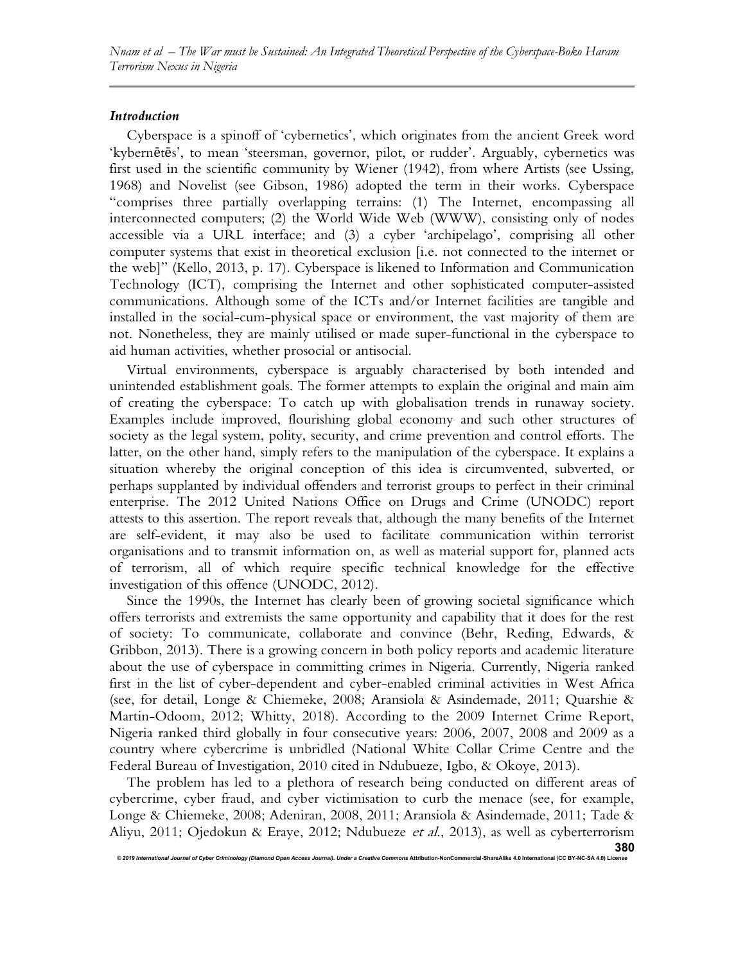## Introduction

Cyberspace is a spinoff of 'cybernetics', which originates from the ancient Greek word 'kybernētēs', to mean 'steersman, governor, pilot, or rudder'. Arguably, cybernetics was first used in the scientific community by Wiener (1942), from where Artists (see Ussing, 1968) and Novelist (see Gibson, 1986) adopted the term in their works. Cyberspace "comprises three partially overlapping terrains: (1) The Internet, encompassing all interconnected computers; (2) the World Wide Web (WWW), consisting only of nodes accessible via a URL interface; and (3) a cyber 'archipelago', comprising all other computer systems that exist in theoretical exclusion [i.e. not connected to the internet or the web]" (Kello, 2013, p. 17). Cyberspace is likened to Information and Communication Technology (ICT), comprising the Internet and other sophisticated computer-assisted communications. Although some of the ICTs and/or Internet facilities are tangible and installed in the social-cum-physical space or environment, the vast majority of them are not. Nonetheless, they are mainly utilised or made super-functional in the cyberspace to aid human activities, whether prosocial or antisocial.

Virtual environments, cyberspace is arguably characterised by both intended and unintended establishment goals. The former attempts to explain the original and main aim of creating the cyberspace: To catch up with globalisation trends in runaway society. Examples include improved, flourishing global economy and such other structures of society as the legal system, polity, security, and crime prevention and control efforts. The latter, on the other hand, simply refers to the manipulation of the cyberspace. It explains a situation whereby the original conception of this idea is circumvented, subverted, or perhaps supplanted by individual offenders and terrorist groups to perfect in their criminal enterprise. The 2012 United Nations Office on Drugs and Crime (UNODC) report attests to this assertion. The report reveals that, although the many benefits of the Internet are self-evident, it may also be used to facilitate communication within terrorist organisations and to transmit information on, as well as material support for, planned acts of terrorism, all of which require specific technical knowledge for the effective investigation of this offence (UNODC, 2012).

Since the 1990s, the Internet has clearly been of growing societal significance which offers terrorists and extremists the same opportunity and capability that it does for the rest of society: To communicate, collaborate and convince (Behr, Reding, Edwards, & Gribbon, 2013). There is a growing concern in both policy reports and academic literature about the use of cyberspace in committing crimes in Nigeria. Currently, Nigeria ranked first in the list of cyber-dependent and cyber-enabled criminal activities in West Africa (see, for detail, Longe & Chiemeke, 2008; Aransiola & Asindemade, 2011; Quarshie & Martin-Odoom, 2012; Whitty, 2018). According to the 2009 Internet Crime Report, Nigeria ranked third globally in four consecutive years: 2006, 2007, 2008 and 2009 as a country where cybercrime is unbridled (National White Collar Crime Centre and the Federal Bureau of Investigation, 2010 cited in Ndubueze, Igbo, & Okoye, 2013).

The problem has led to a plethora of research being conducted on different areas of cybercrime, cyber fraud, and cyber victimisation to curb the menace (see, for example, Longe & Chiemeke, 2008; Adeniran, 2008, 2011; Aransiola & Asindemade, 2011; Tade & Aliyu, 2011; Ojedokun & Eraye, 2012; Ndubueze et al., 2013), as well as cyberterrorism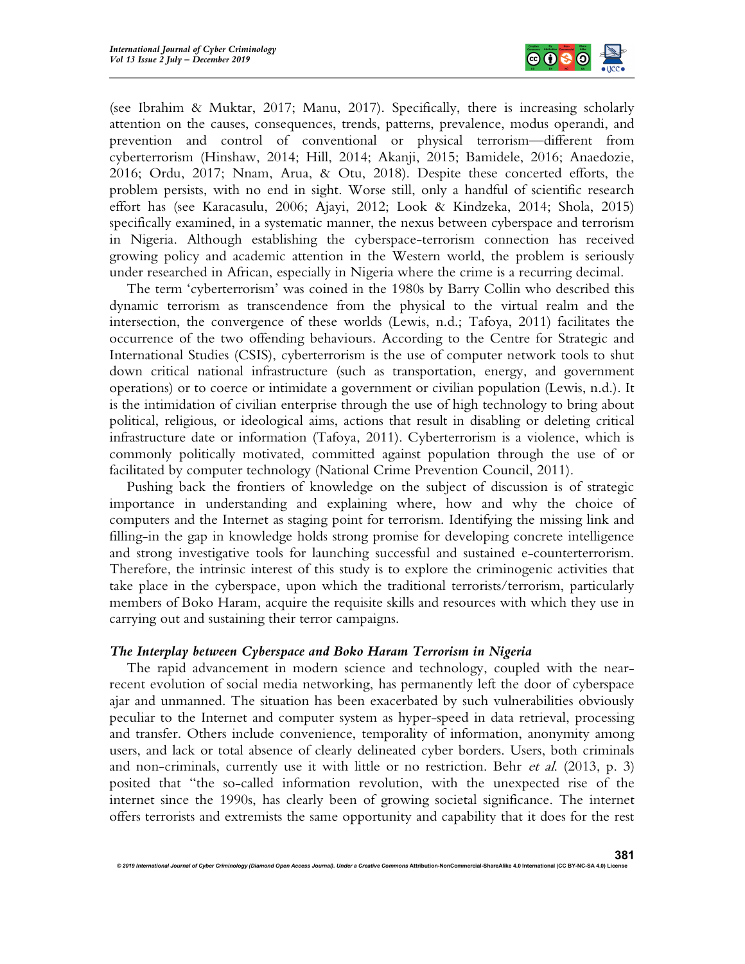

(see Ibrahim & Muktar, 2017; Manu, 2017). Specifically, there is increasing scholarly attention on the causes, consequences, trends, patterns, prevalence, modus operandi, and prevention and control of conventional or physical terrorism—different from cyberterrorism (Hinshaw, 2014; Hill, 2014; Akanji, 2015; Bamidele, 2016; Anaedozie, 2016; Ordu, 2017; Nnam, Arua, & Otu, 2018). Despite these concerted efforts, the problem persists, with no end in sight. Worse still, only a handful of scientific research effort has (see Karacasulu, 2006; Ajayi, 2012; Look & Kindzeka, 2014; Shola, 2015) specifically examined, in a systematic manner, the nexus between cyberspace and terrorism in Nigeria. Although establishing the cyberspace-terrorism connection has received growing policy and academic attention in the Western world, the problem is seriously under researched in African, especially in Nigeria where the crime is a recurring decimal.

The term 'cyberterrorism' was coined in the 1980s by Barry Collin who described this dynamic terrorism as transcendence from the physical to the virtual realm and the intersection, the convergence of these worlds (Lewis, n.d.; Tafoya, 2011) facilitates the occurrence of the two offending behaviours. According to the Centre for Strategic and International Studies (CSIS), cyberterrorism is the use of computer network tools to shut down critical national infrastructure (such as transportation, energy, and government operations) or to coerce or intimidate a government or civilian population (Lewis, n.d.). It is the intimidation of civilian enterprise through the use of high technology to bring about political, religious, or ideological aims, actions that result in disabling or deleting critical infrastructure date or information (Tafoya, 2011). Cyberterrorism is a violence, which is commonly politically motivated, committed against population through the use of or facilitated by computer technology (National Crime Prevention Council, 2011).

Pushing back the frontiers of knowledge on the subject of discussion is of strategic importance in understanding and explaining where, how and why the choice of computers and the Internet as staging point for terrorism. Identifying the missing link and filling-in the gap in knowledge holds strong promise for developing concrete intelligence and strong investigative tools for launching successful and sustained e-counterterrorism. Therefore, the intrinsic interest of this study is to explore the criminogenic activities that take place in the cyberspace, upon which the traditional terrorists/terrorism, particularly members of Boko Haram, acquire the requisite skills and resources with which they use in carrying out and sustaining their terror campaigns.

#### The Interplay between Cyberspace and Boko Haram Terrorism in Nigeria

The rapid advancement in modern science and technology, coupled with the nearrecent evolution of social media networking, has permanently left the door of cyberspace ajar and unmanned. The situation has been exacerbated by such vulnerabilities obviously peculiar to the Internet and computer system as hyper-speed in data retrieval, processing and transfer. Others include convenience, temporality of information, anonymity among users, and lack or total absence of clearly delineated cyber borders. Users, both criminals and non-criminals, currently use it with little or no restriction. Behr *et al.* (2013, p. 3) posited that "the so-called information revolution, with the unexpected rise of the internet since the 1990s, has clearly been of growing societal significance. The internet offers terrorists and extremists the same opportunity and capability that it does for the rest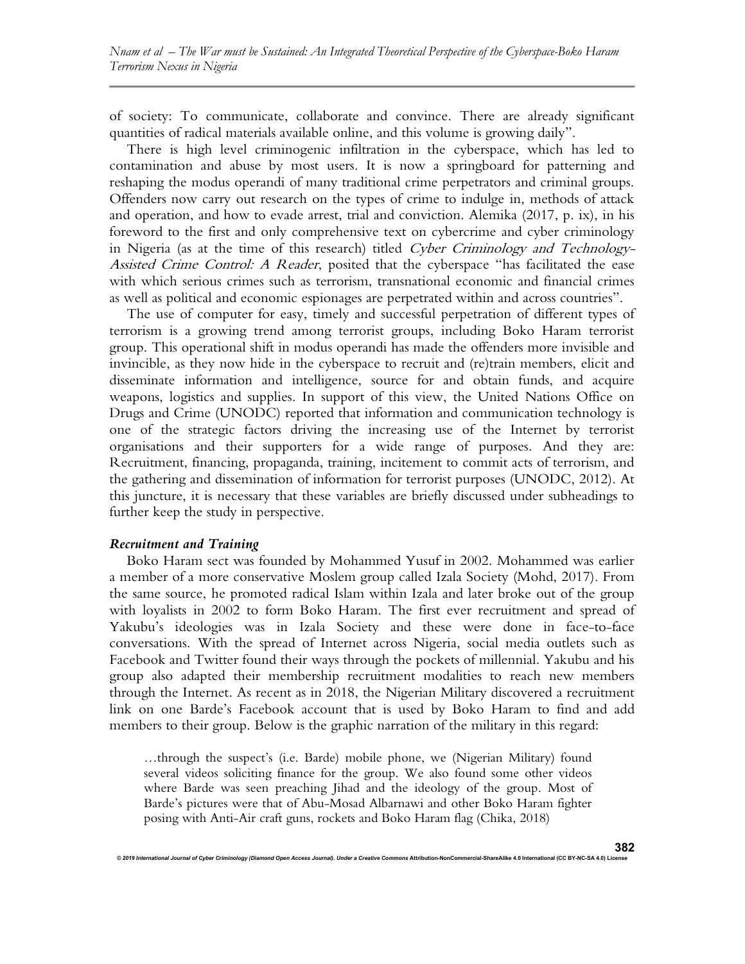of society: To communicate, collaborate and convince. There are already significant quantities of radical materials available online, and this volume is growing daily".

There is high level criminogenic infiltration in the cyberspace, which has led to contamination and abuse by most users. It is now a springboard for patterning and reshaping the modus operandi of many traditional crime perpetrators and criminal groups. Offenders now carry out research on the types of crime to indulge in, methods of attack and operation, and how to evade arrest, trial and conviction. Alemika (2017, p. ix), in his foreword to the first and only comprehensive text on cybercrime and cyber criminology in Nigeria (as at the time of this research) titled Cyber Criminology and Technology-Assisted Crime Control: A Reader, posited that the cyberspace "has facilitated the ease with which serious crimes such as terrorism, transnational economic and financial crimes as well as political and economic espionages are perpetrated within and across countries".

The use of computer for easy, timely and successful perpetration of different types of terrorism is a growing trend among terrorist groups, including Boko Haram terrorist group. This operational shift in modus operandi has made the offenders more invisible and invincible, as they now hide in the cyberspace to recruit and (re)train members, elicit and disseminate information and intelligence, source for and obtain funds, and acquire weapons, logistics and supplies. In support of this view, the United Nations Office on Drugs and Crime (UNODC) reported that information and communication technology is one of the strategic factors driving the increasing use of the Internet by terrorist organisations and their supporters for a wide range of purposes. And they are: Recruitment, financing, propaganda, training, incitement to commit acts of terrorism, and the gathering and dissemination of information for terrorist purposes (UNODC, 2012). At this juncture, it is necessary that these variables are briefly discussed under subheadings to further keep the study in perspective.

## Recruitment and Training

Boko Haram sect was founded by Mohammed Yusuf in 2002. Mohammed was earlier a member of a more conservative Moslem group called Izala Society (Mohd, 2017). From the same source, he promoted radical Islam within Izala and later broke out of the group with loyalists in 2002 to form Boko Haram. The first ever recruitment and spread of Yakubu's ideologies was in Izala Society and these were done in face-to-face conversations. With the spread of Internet across Nigeria, social media outlets such as Facebook and Twitter found their ways through the pockets of millennial. Yakubu and his group also adapted their membership recruitment modalities to reach new members through the Internet. As recent as in 2018, the Nigerian Military discovered a recruitment link on one Barde's Facebook account that is used by Boko Haram to find and add members to their group. Below is the graphic narration of the military in this regard:

…through the suspect's (i.e. Barde) mobile phone, we (Nigerian Military) found several videos soliciting finance for the group. We also found some other videos where Barde was seen preaching Jihad and the ideology of the group. Most of Barde's pictures were that of Abu-Mosad Albarnawi and other Boko Haram fighter posing with Anti-Air craft guns, rockets and Boko Haram flag (Chika, 2018)

© 2019 International Journal of Cyber Criminology (Diamond Open Access Journal). Under a Creative Com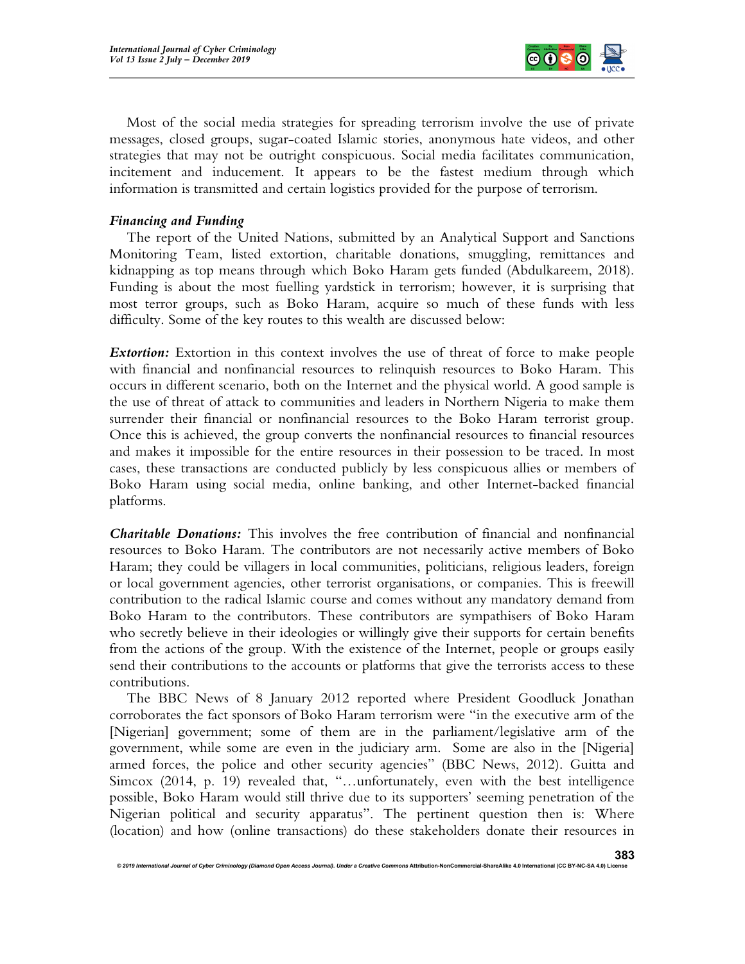

Most of the social media strategies for spreading terrorism involve the use of private messages, closed groups, sugar-coated Islamic stories, anonymous hate videos, and other strategies that may not be outright conspicuous. Social media facilitates communication, incitement and inducement. It appears to be the fastest medium through which information is transmitted and certain logistics provided for the purpose of terrorism.

# Financing and Funding

The report of the United Nations, submitted by an Analytical Support and Sanctions Monitoring Team, listed extortion, charitable donations, smuggling, remittances and kidnapping as top means through which Boko Haram gets funded (Abdulkareem, 2018). Funding is about the most fuelling yardstick in terrorism; however, it is surprising that most terror groups, such as Boko Haram, acquire so much of these funds with less difficulty. Some of the key routes to this wealth are discussed below:

**Extortion:** Extortion in this context involves the use of threat of force to make people with financial and nonfinancial resources to relinquish resources to Boko Haram. This occurs in different scenario, both on the Internet and the physical world. A good sample is the use of threat of attack to communities and leaders in Northern Nigeria to make them surrender their financial or nonfinancial resources to the Boko Haram terrorist group. Once this is achieved, the group converts the nonfinancial resources to financial resources and makes it impossible for the entire resources in their possession to be traced. In most cases, these transactions are conducted publicly by less conspicuous allies or members of Boko Haram using social media, online banking, and other Internet-backed financial platforms.

**Charitable Donations:** This involves the free contribution of financial and nonfinancial resources to Boko Haram. The contributors are not necessarily active members of Boko Haram; they could be villagers in local communities, politicians, religious leaders, foreign or local government agencies, other terrorist organisations, or companies. This is freewill contribution to the radical Islamic course and comes without any mandatory demand from Boko Haram to the contributors. These contributors are sympathisers of Boko Haram who secretly believe in their ideologies or willingly give their supports for certain benefits from the actions of the group. With the existence of the Internet, people or groups easily send their contributions to the accounts or platforms that give the terrorists access to these contributions.

The BBC News of 8 January 2012 reported where President Goodluck Jonathan corroborates the fact sponsors of Boko Haram terrorism were "in the executive arm of the [Nigerian] government; some of them are in the parliament/legislative arm of the government, while some are even in the judiciary arm. Some are also in the [Nigeria] armed forces, the police and other security agencies" (BBC News, 2012). Guitta and Simcox (2014, p. 19) revealed that, "…unfortunately, even with the best intelligence possible, Boko Haram would still thrive due to its supporters' seeming penetration of the Nigerian political and security apparatus". The pertinent question then is: Where (location) and how (online transactions) do these stakeholders donate their resources in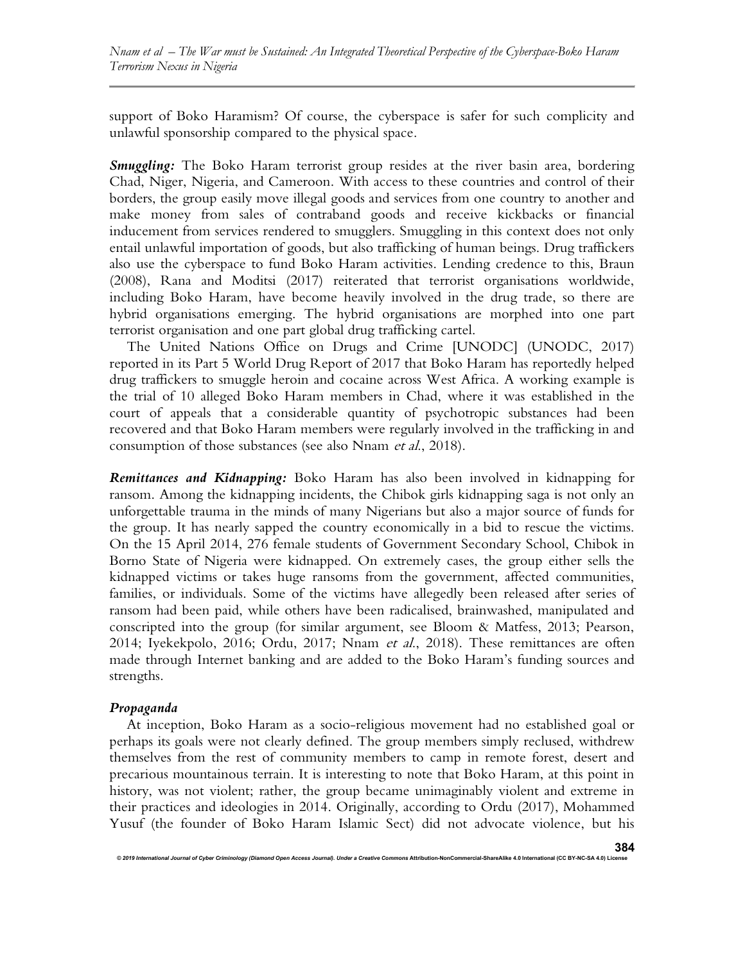support of Boko Haramism? Of course, the cyberspace is safer for such complicity and unlawful sponsorship compared to the physical space.

**Smuggling:** The Boko Haram terrorist group resides at the river basin area, bordering Chad, Niger, Nigeria, and Cameroon. With access to these countries and control of their borders, the group easily move illegal goods and services from one country to another and make money from sales of contraband goods and receive kickbacks or financial inducement from services rendered to smugglers. Smuggling in this context does not only entail unlawful importation of goods, but also trafficking of human beings. Drug traffickers also use the cyberspace to fund Boko Haram activities. Lending credence to this, Braun (2008), Rana and Moditsi (2017) reiterated that terrorist organisations worldwide, including Boko Haram, have become heavily involved in the drug trade, so there are hybrid organisations emerging. The hybrid organisations are morphed into one part terrorist organisation and one part global drug trafficking cartel.

The United Nations Office on Drugs and Crime [UNODC] (UNODC, 2017) reported in its Part 5 World Drug Report of 2017 that Boko Haram has reportedly helped drug traffickers to smuggle heroin and cocaine across West Africa. A working example is the trial of 10 alleged Boko Haram members in Chad, where it was established in the court of appeals that a considerable quantity of psychotropic substances had been recovered and that Boko Haram members were regularly involved in the trafficking in and consumption of those substances (see also Nnam et al., 2018).

**Remittances and Kidnapping:** Boko Haram has also been involved in kidnapping for ransom. Among the kidnapping incidents, the Chibok girls kidnapping saga is not only an unforgettable trauma in the minds of many Nigerians but also a major source of funds for the group. It has nearly sapped the country economically in a bid to rescue the victims. On the 15 April 2014, 276 female students of Government Secondary School, Chibok in Borno State of Nigeria were kidnapped. On extremely cases, the group either sells the kidnapped victims or takes huge ransoms from the government, affected communities, families, or individuals. Some of the victims have allegedly been released after series of ransom had been paid, while others have been radicalised, brainwashed, manipulated and conscripted into the group (for similar argument, see Bloom & Matfess, 2013; Pearson, 2014; Iyekekpolo, 2016; Ordu, 2017; Nnam et al., 2018). These remittances are often made through Internet banking and are added to the Boko Haram's funding sources and strengths.

## Propaganda

At inception, Boko Haram as a socio-religious movement had no established goal or perhaps its goals were not clearly defined. The group members simply reclused, withdrew themselves from the rest of community members to camp in remote forest, desert and precarious mountainous terrain. It is interesting to note that Boko Haram, at this point in history, was not violent; rather, the group became unimaginably violent and extreme in their practices and ideologies in 2014. Originally, according to Ordu (2017), Mohammed Yusuf (the founder of Boko Haram Islamic Sect) did not advocate violence, but his

© 2019 International Journal of Cyber Criminology (Diamond Open Access Journal). Under a Creative Commons Attribution-NonCommercial-ShareAlike 4.0 International (CC BY-NC-SA 4.0) L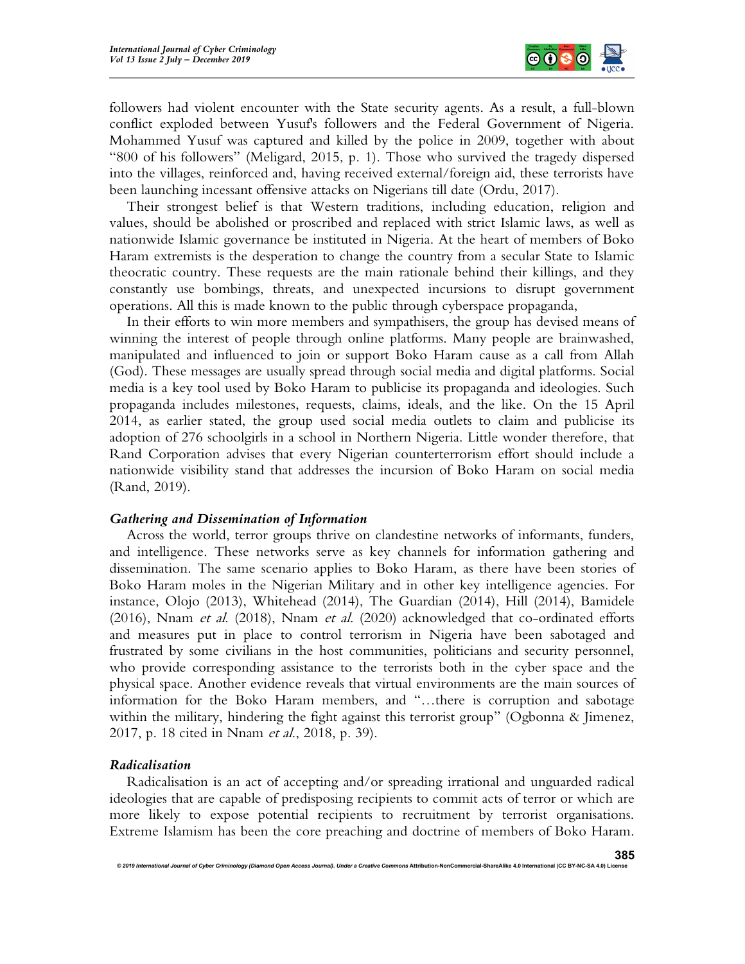

followers had violent encounter with the State security agents. As a result, a full-blown conflict exploded between Yusuf's followers and the Federal Government of Nigeria. Mohammed Yusuf was captured and killed by the police in 2009, together with about "800 of his followers" (Meligard, 2015, p. 1). Those who survived the tragedy dispersed into the villages, reinforced and, having received external/foreign aid, these terrorists have been launching incessant offensive attacks on Nigerians till date (Ordu, 2017).

Their strongest belief is that Western traditions, including education, religion and values, should be abolished or proscribed and replaced with strict Islamic laws, as well as nationwide Islamic governance be instituted in Nigeria. At the heart of members of Boko Haram extremists is the desperation to change the country from a secular State to Islamic theocratic country. These requests are the main rationale behind their killings, and they constantly use bombings, threats, and unexpected incursions to disrupt government operations. All this is made known to the public through cyberspace propaganda,

In their efforts to win more members and sympathisers, the group has devised means of winning the interest of people through online platforms. Many people are brainwashed, manipulated and influenced to join or support Boko Haram cause as a call from Allah (God). These messages are usually spread through social media and digital platforms. Social media is a key tool used by Boko Haram to publicise its propaganda and ideologies. Such propaganda includes milestones, requests, claims, ideals, and the like. On the 15 April 2014, as earlier stated, the group used social media outlets to claim and publicise its adoption of 276 schoolgirls in a school in Northern Nigeria. Little wonder therefore, that Rand Corporation advises that every Nigerian counterterrorism effort should include a nationwide visibility stand that addresses the incursion of Boko Haram on social media (Rand, 2019).

#### Gathering and Dissemination of Information

Across the world, terror groups thrive on clandestine networks of informants, funders, and intelligence. These networks serve as key channels for information gathering and dissemination. The same scenario applies to Boko Haram, as there have been stories of Boko Haram moles in the Nigerian Military and in other key intelligence agencies. For instance, Olojo (2013), Whitehead (2014), The Guardian (2014), Hill (2014), Bamidele (2016), Nnam et al. (2018), Nnam et al. (2020) acknowledged that co-ordinated efforts and measures put in place to control terrorism in Nigeria have been sabotaged and frustrated by some civilians in the host communities, politicians and security personnel, who provide corresponding assistance to the terrorists both in the cyber space and the physical space. Another evidence reveals that virtual environments are the main sources of information for the Boko Haram members, and "…there is corruption and sabotage within the military, hindering the fight against this terrorist group" (Ogbonna & Jimenez, 2017, p. 18 cited in Nnam *et al.*, 2018, p. 39).

#### Radicalisation

Radicalisation is an act of accepting and/or spreading irrational and unguarded radical ideologies that are capable of predisposing recipients to commit acts of terror or which are more likely to expose potential recipients to recruitment by terrorist organisations. Extreme Islamism has been the core preaching and doctrine of members of Boko Haram.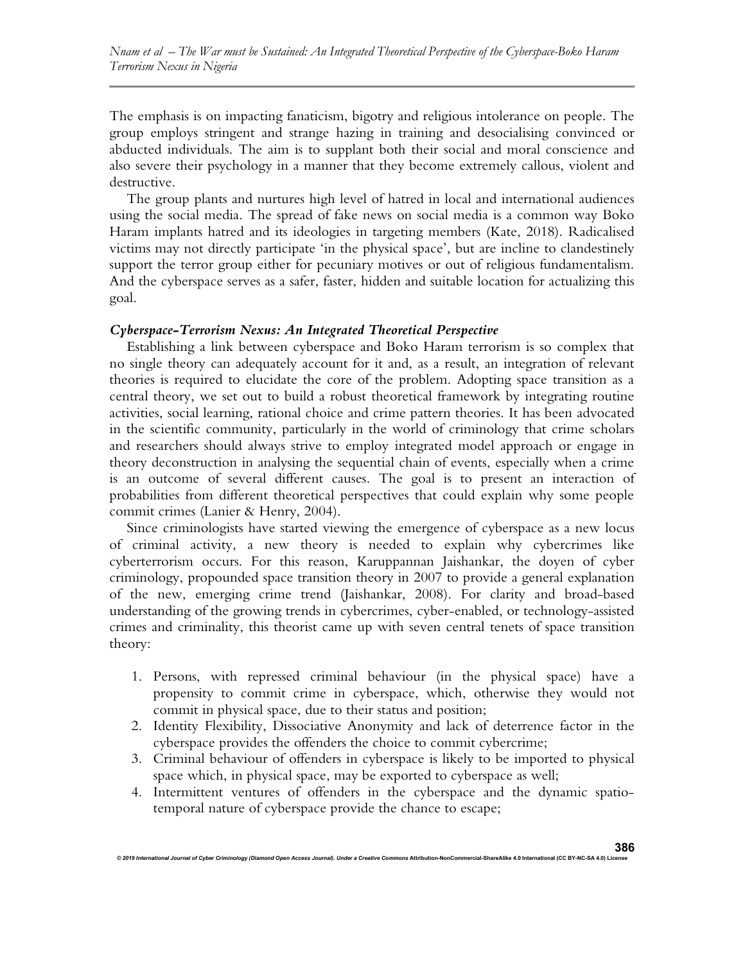The emphasis is on impacting fanaticism, bigotry and religious intolerance on people. The group employs stringent and strange hazing in training and desocialising convinced or abducted individuals. The aim is to supplant both their social and moral conscience and also severe their psychology in a manner that they become extremely callous, violent and destructive.

The group plants and nurtures high level of hatred in local and international audiences using the social media. The spread of fake news on social media is a common way Boko Haram implants hatred and its ideologies in targeting members (Kate, 2018). Radicalised victims may not directly participate 'in the physical space', but are incline to clandestinely support the terror group either for pecuniary motives or out of religious fundamentalism. And the cyberspace serves as a safer, faster, hidden and suitable location for actualizing this goal.

### Cyberspace-Terrorism Nexus: An Integrated Theoretical Perspective

Establishing a link between cyberspace and Boko Haram terrorism is so complex that no single theory can adequately account for it and, as a result, an integration of relevant theories is required to elucidate the core of the problem. Adopting space transition as a central theory, we set out to build a robust theoretical framework by integrating routine activities, social learning, rational choice and crime pattern theories. It has been advocated in the scientific community, particularly in the world of criminology that crime scholars and researchers should always strive to employ integrated model approach or engage in theory deconstruction in analysing the sequential chain of events, especially when a crime is an outcome of several different causes. The goal is to present an interaction of probabilities from different theoretical perspectives that could explain why some people commit crimes (Lanier & Henry, 2004).

Since criminologists have started viewing the emergence of cyberspace as a new locus of criminal activity, a new theory is needed to explain why cybercrimes like cyberterrorism occurs. For this reason, Karuppannan Jaishankar, the doyen of cyber criminology, propounded space transition theory in 2007 to provide a general explanation of the new, emerging crime trend (Jaishankar, 2008). For clarity and broad-based understanding of the growing trends in cybercrimes, cyber-enabled, or technology-assisted crimes and criminality, this theorist came up with seven central tenets of space transition theory:

- 1. Persons, with repressed criminal behaviour (in the physical space) have a propensity to commit crime in cyberspace, which, otherwise they would not commit in physical space, due to their status and position;
- 2. Identity Flexibility, Dissociative Anonymity and lack of deterrence factor in the cyberspace provides the offenders the choice to commit cybercrime;
- 3. Criminal behaviour of offenders in cyberspace is likely to be imported to physical space which, in physical space, may be exported to cyberspace as well;
- 4. Intermittent ventures of offenders in the cyberspace and the dynamic spatiotemporal nature of cyberspace provide the chance to escape;

© 2019 International Journal of Cyber Criminology (Diamond Open Access Journal). Under a Creative Con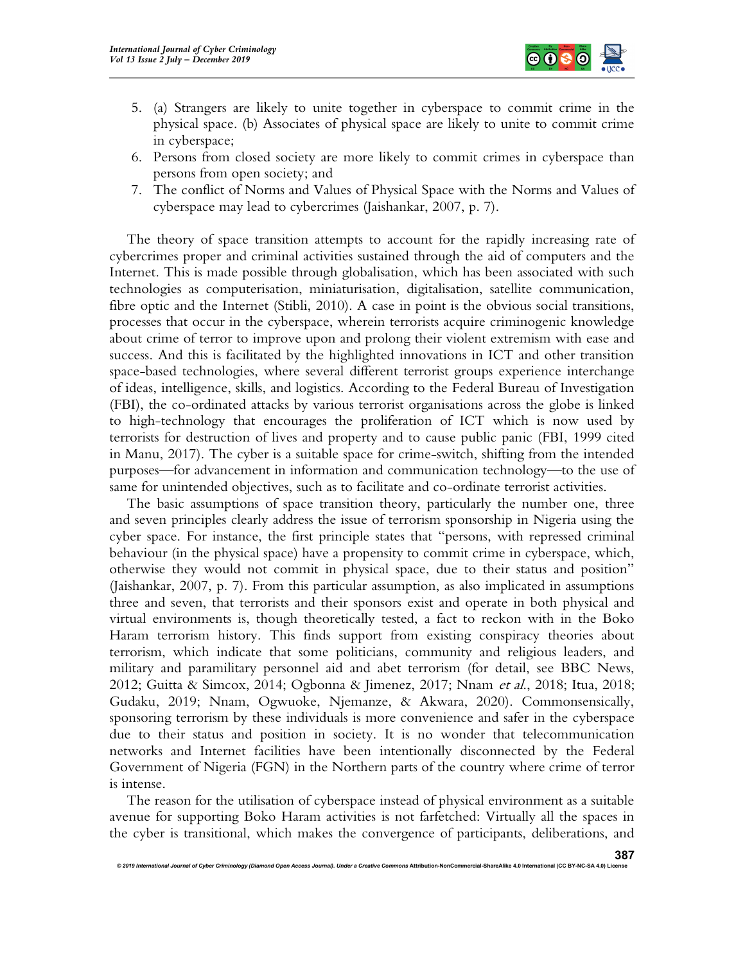

- 5. (a) Strangers are likely to unite together in cyberspace to commit crime in the physical space. (b) Associates of physical space are likely to unite to commit crime in cyberspace;
- 6. Persons from closed society are more likely to commit crimes in cyberspace than persons from open society; and
- 7. The conflict of Norms and Values of Physical Space with the Norms and Values of cyberspace may lead to cybercrimes (Jaishankar, 2007, p. 7).

The theory of space transition attempts to account for the rapidly increasing rate of cybercrimes proper and criminal activities sustained through the aid of computers and the Internet. This is made possible through globalisation, which has been associated with such technologies as computerisation, miniaturisation, digitalisation, satellite communication, fibre optic and the Internet (Stibli, 2010). A case in point is the obvious social transitions, processes that occur in the cyberspace, wherein terrorists acquire criminogenic knowledge about crime of terror to improve upon and prolong their violent extremism with ease and success. And this is facilitated by the highlighted innovations in ICT and other transition space-based technologies, where several different terrorist groups experience interchange of ideas, intelligence, skills, and logistics. According to the Federal Bureau of Investigation (FBI), the co-ordinated attacks by various terrorist organisations across the globe is linked to high-technology that encourages the proliferation of ICT which is now used by terrorists for destruction of lives and property and to cause public panic (FBI, 1999 cited in Manu, 2017). The cyber is a suitable space for crime-switch, shifting from the intended purposes—for advancement in information and communication technology—to the use of same for unintended objectives, such as to facilitate and co-ordinate terrorist activities.

The basic assumptions of space transition theory, particularly the number one, three and seven principles clearly address the issue of terrorism sponsorship in Nigeria using the cyber space. For instance, the first principle states that "persons, with repressed criminal behaviour (in the physical space) have a propensity to commit crime in cyberspace, which, otherwise they would not commit in physical space, due to their status and position" (Jaishankar, 2007, p. 7). From this particular assumption, as also implicated in assumptions three and seven, that terrorists and their sponsors exist and operate in both physical and virtual environments is, though theoretically tested, a fact to reckon with in the Boko Haram terrorism history. This finds support from existing conspiracy theories about terrorism, which indicate that some politicians, community and religious leaders, and military and paramilitary personnel aid and abet terrorism (for detail, see BBC News, 2012; Guitta & Simcox, 2014; Ogbonna & Jimenez, 2017; Nnam et al., 2018; Itua, 2018; Gudaku, 2019; Nnam, Ogwuoke, Njemanze, & Akwara, 2020). Commonsensically, sponsoring terrorism by these individuals is more convenience and safer in the cyberspace due to their status and position in society. It is no wonder that telecommunication networks and Internet facilities have been intentionally disconnected by the Federal Government of Nigeria (FGN) in the Northern parts of the country where crime of terror is intense.

The reason for the utilisation of cyberspace instead of physical environment as a suitable avenue for supporting Boko Haram activities is not farfetched: Virtually all the spaces in the cyber is transitional, which makes the convergence of participants, deliberations, and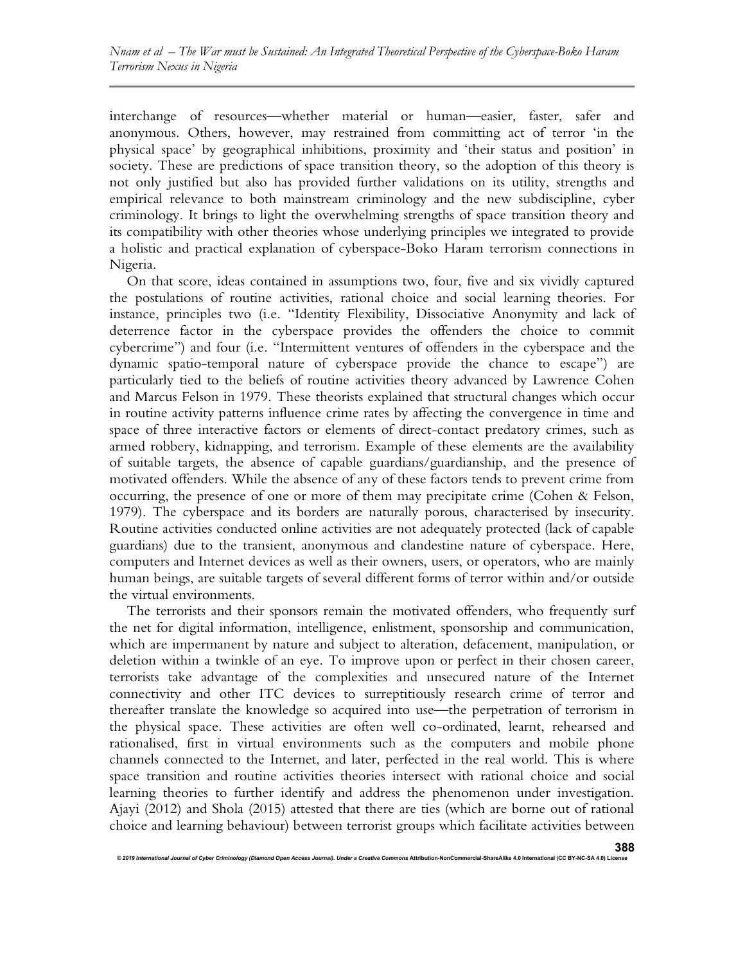interchange of resources—whether material or human—easier, faster, safer and anonymous. Others, however, may restrained from committing act of terror 'in the physical space' by geographical inhibitions, proximity and 'their status and position' in society. These are predictions of space transition theory, so the adoption of this theory is not only justified but also has provided further validations on its utility, strengths and empirical relevance to both mainstream criminology and the new subdiscipline, cyber criminology. It brings to light the overwhelming strengths of space transition theory and its compatibility with other theories whose underlying principles we integrated to provide a holistic and practical explanation of cyberspace-Boko Haram terrorism connections in Nigeria.

On that score, ideas contained in assumptions two, four, five and six vividly captured the postulations of routine activities, rational choice and social learning theories. For instance, principles two (i.e. "Identity Flexibility, Dissociative Anonymity and lack of deterrence factor in the cyberspace provides the offenders the choice to commit cybercrime") and four (i.e. "Intermittent ventures of offenders in the cyberspace and the dynamic spatio-temporal nature of cyberspace provide the chance to escape") are particularly tied to the beliefs of routine activities theory advanced by Lawrence Cohen and Marcus Felson in 1979. These theorists explained that structural changes which occur in routine activity patterns influence crime rates by affecting the convergence in time and space of three interactive factors or elements of direct-contact predatory crimes, such as armed robbery, kidnapping, and terrorism. Example of these elements are the availability of suitable targets, the absence of capable guardians/guardianship, and the presence of motivated offenders. While the absence of any of these factors tends to prevent crime from occurring, the presence of one or more of them may precipitate crime (Cohen & Felson, 1979). The cyberspace and its borders are naturally porous, characterised by insecurity. Routine activities conducted online activities are not adequately protected (lack of capable guardians) due to the transient, anonymous and clandestine nature of cyberspace. Here, computers and Internet devices as well as their owners, users, or operators, who are mainly human beings, are suitable targets of several different forms of terror within and/or outside the virtual environments.

The terrorists and their sponsors remain the motivated offenders, who frequently surf the net for digital information, intelligence, enlistment, sponsorship and communication, which are impermanent by nature and subject to alteration, defacement, manipulation, or deletion within a twinkle of an eye. To improve upon or perfect in their chosen career, terrorists take advantage of the complexities and unsecured nature of the Internet connectivity and other ITC devices to surreptitiously research crime of terror and thereafter translate the knowledge so acquired into use—the perpetration of terrorism in the physical space. These activities are often well co-ordinated, learnt, rehearsed and rationalised, first in virtual environments such as the computers and mobile phone channels connected to the Internet, and later, perfected in the real world. This is where space transition and routine activities theories intersect with rational choice and social learning theories to further identify and address the phenomenon under investigation. Ajayi (2012) and Shola (2015) attested that there are ties (which are borne out of rational choice and learning behaviour) between terrorist groups which facilitate activities between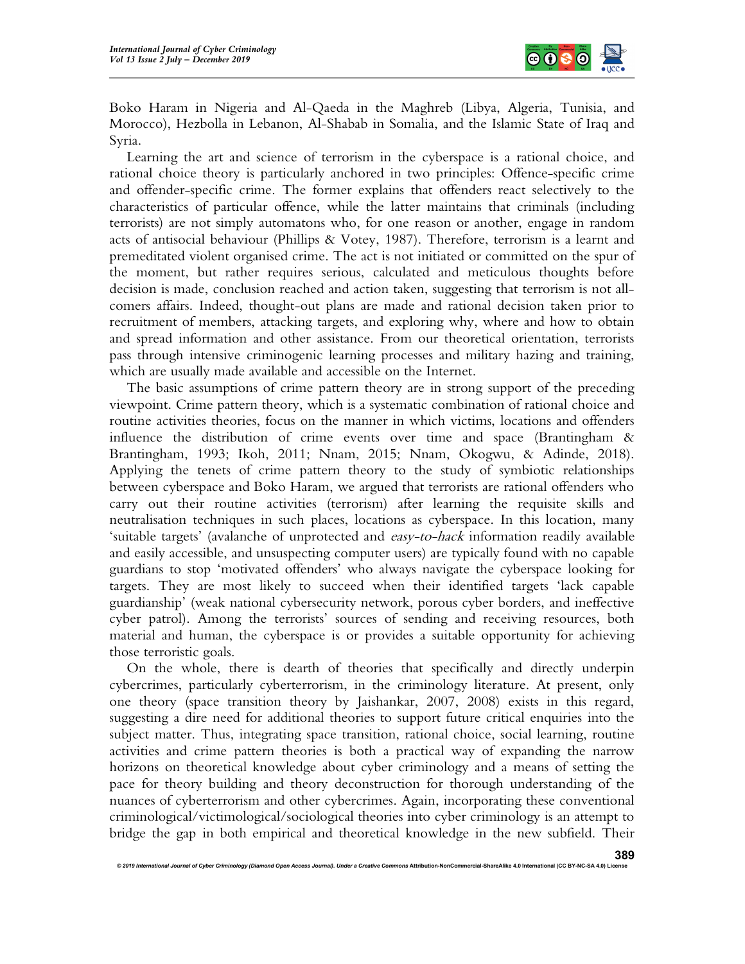

Boko Haram in Nigeria and Al-Qaeda in the Maghreb (Libya, Algeria, Tunisia, and Morocco), Hezbolla in Lebanon, Al-Shabab in Somalia, and the Islamic State of Iraq and Syria.

Learning the art and science of terrorism in the cyberspace is a rational choice, and rational choice theory is particularly anchored in two principles: Offence-specific crime and offender-specific crime. The former explains that offenders react selectively to the characteristics of particular offence, while the latter maintains that criminals (including terrorists) are not simply automatons who, for one reason or another, engage in random acts of antisocial behaviour (Phillips & Votey, 1987). Therefore, terrorism is a learnt and premeditated violent organised crime. The act is not initiated or committed on the spur of the moment, but rather requires serious, calculated and meticulous thoughts before decision is made, conclusion reached and action taken, suggesting that terrorism is not allcomers affairs. Indeed, thought-out plans are made and rational decision taken prior to recruitment of members, attacking targets, and exploring why, where and how to obtain and spread information and other assistance. From our theoretical orientation, terrorists pass through intensive criminogenic learning processes and military hazing and training, which are usually made available and accessible on the Internet.

The basic assumptions of crime pattern theory are in strong support of the preceding viewpoint. Crime pattern theory, which is a systematic combination of rational choice and routine activities theories, focus on the manner in which victims, locations and offenders influence the distribution of crime events over time and space (Brantingham & Brantingham, 1993; Ikoh, 2011; Nnam, 2015; Nnam, Okogwu, & Adinde, 2018). Applying the tenets of crime pattern theory to the study of symbiotic relationships between cyberspace and Boko Haram, we argued that terrorists are rational offenders who carry out their routine activities (terrorism) after learning the requisite skills and neutralisation techniques in such places, locations as cyberspace. In this location, many 'suitable targets' (avalanche of unprotected and easy-to-hack information readily available and easily accessible, and unsuspecting computer users) are typically found with no capable guardians to stop 'motivated offenders' who always navigate the cyberspace looking for targets. They are most likely to succeed when their identified targets 'lack capable guardianship' (weak national cybersecurity network, porous cyber borders, and ineffective cyber patrol). Among the terrorists' sources of sending and receiving resources, both material and human, the cyberspace is or provides a suitable opportunity for achieving those terroristic goals.

On the whole, there is dearth of theories that specifically and directly underpin cybercrimes, particularly cyberterrorism, in the criminology literature. At present, only one theory (space transition theory by Jaishankar, 2007, 2008) exists in this regard, suggesting a dire need for additional theories to support future critical enquiries into the subject matter. Thus, integrating space transition, rational choice, social learning, routine activities and crime pattern theories is both a practical way of expanding the narrow horizons on theoretical knowledge about cyber criminology and a means of setting the pace for theory building and theory deconstruction for thorough understanding of the nuances of cyberterrorism and other cybercrimes. Again, incorporating these conventional criminological/victimological/sociological theories into cyber criminology is an attempt to bridge the gap in both empirical and theoretical knowledge in the new subfield. Their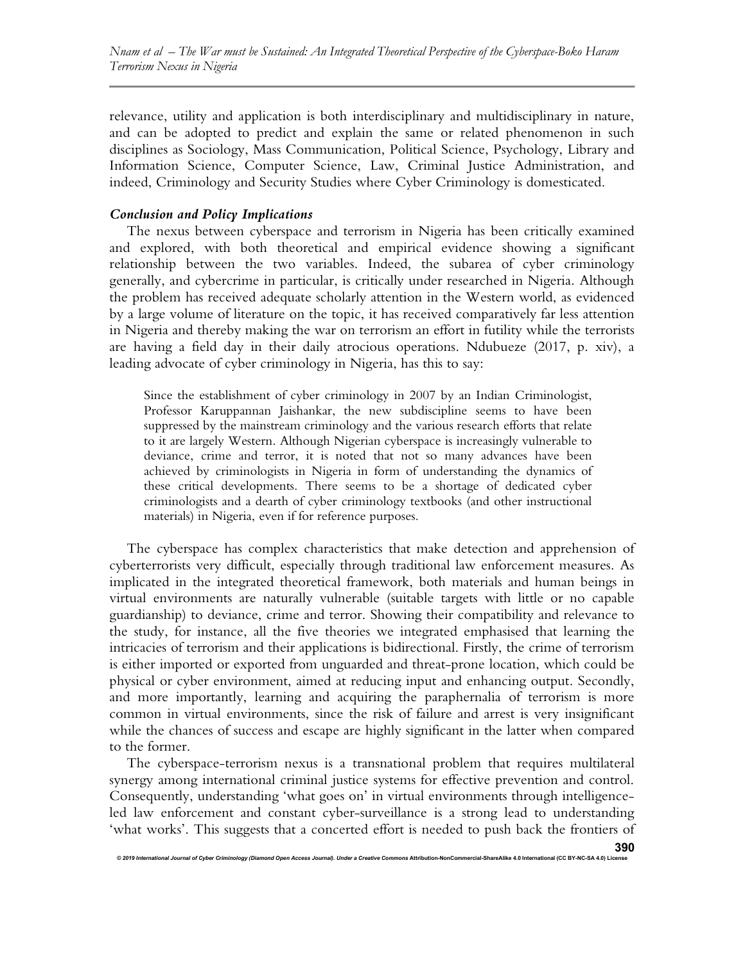relevance, utility and application is both interdisciplinary and multidisciplinary in nature, and can be adopted to predict and explain the same or related phenomenon in such disciplines as Sociology, Mass Communication, Political Science, Psychology, Library and Information Science, Computer Science, Law, Criminal Justice Administration, and indeed, Criminology and Security Studies where Cyber Criminology is domesticated.

# Conclusion and Policy Implications

The nexus between cyberspace and terrorism in Nigeria has been critically examined and explored, with both theoretical and empirical evidence showing a significant relationship between the two variables. Indeed, the subarea of cyber criminology generally, and cybercrime in particular, is critically under researched in Nigeria. Although the problem has received adequate scholarly attention in the Western world, as evidenced by a large volume of literature on the topic, it has received comparatively far less attention in Nigeria and thereby making the war on terrorism an effort in futility while the terrorists are having a field day in their daily atrocious operations. Ndubueze (2017, p. xiv), a leading advocate of cyber criminology in Nigeria, has this to say:

Since the establishment of cyber criminology in 2007 by an Indian Criminologist, Professor Karuppannan Jaishankar, the new subdiscipline seems to have been suppressed by the mainstream criminology and the various research efforts that relate to it are largely Western. Although Nigerian cyberspace is increasingly vulnerable to deviance, crime and terror, it is noted that not so many advances have been achieved by criminologists in Nigeria in form of understanding the dynamics of these critical developments. There seems to be a shortage of dedicated cyber criminologists and a dearth of cyber criminology textbooks (and other instructional materials) in Nigeria, even if for reference purposes.

The cyberspace has complex characteristics that make detection and apprehension of cyberterrorists very difficult, especially through traditional law enforcement measures. As implicated in the integrated theoretical framework, both materials and human beings in virtual environments are naturally vulnerable (suitable targets with little or no capable guardianship) to deviance, crime and terror. Showing their compatibility and relevance to the study, for instance, all the five theories we integrated emphasised that learning the intricacies of terrorism and their applications is bidirectional. Firstly, the crime of terrorism is either imported or exported from unguarded and threat-prone location, which could be physical or cyber environment, aimed at reducing input and enhancing output. Secondly, and more importantly, learning and acquiring the paraphernalia of terrorism is more common in virtual environments, since the risk of failure and arrest is very insignificant while the chances of success and escape are highly significant in the latter when compared to the former.

The cyberspace-terrorism nexus is a transnational problem that requires multilateral synergy among international criminal justice systems for effective prevention and control. Consequently, understanding 'what goes on' in virtual environments through intelligenceled law enforcement and constant cyber-surveillance is a strong lead to understanding 'what works'. This suggests that a concerted effort is needed to push back the frontiers of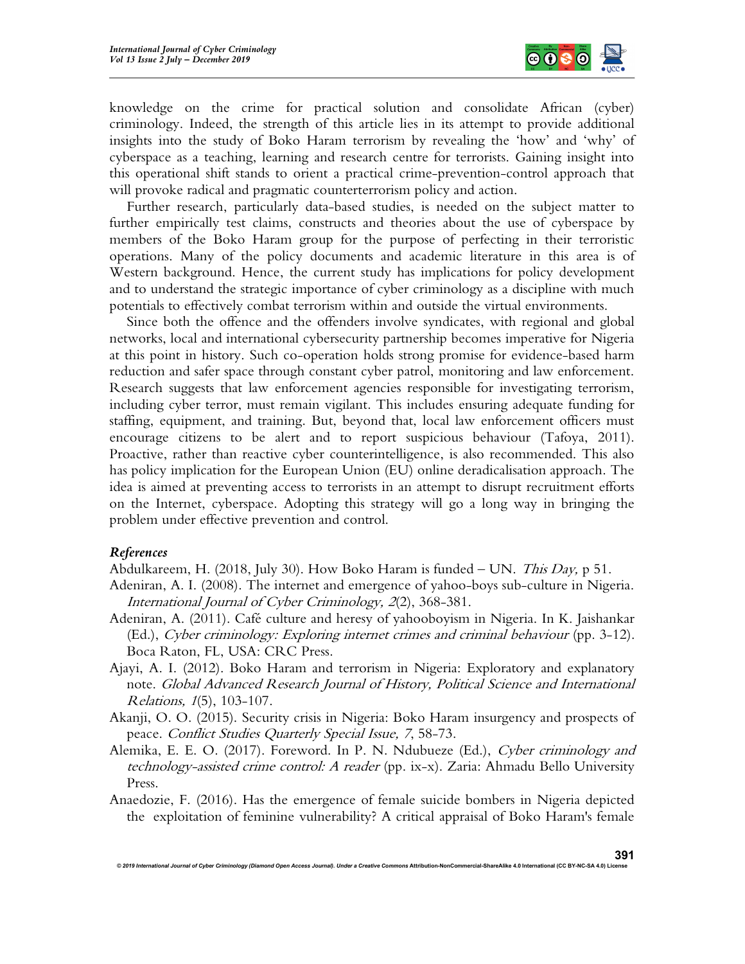

knowledge on the crime for practical solution and consolidate African (cyber) criminology. Indeed, the strength of this article lies in its attempt to provide additional insights into the study of Boko Haram terrorism by revealing the 'how' and 'why' of cyberspace as a teaching, learning and research centre for terrorists. Gaining insight into this operational shift stands to orient a practical crime-prevention-control approach that will provoke radical and pragmatic counterterrorism policy and action.

Further research, particularly data-based studies, is needed on the subject matter to further empirically test claims, constructs and theories about the use of cyberspace by members of the Boko Haram group for the purpose of perfecting in their terroristic operations. Many of the policy documents and academic literature in this area is of Western background. Hence, the current study has implications for policy development and to understand the strategic importance of cyber criminology as a discipline with much potentials to effectively combat terrorism within and outside the virtual environments.

Since both the offence and the offenders involve syndicates, with regional and global networks, local and international cybersecurity partnership becomes imperative for Nigeria at this point in history. Such co-operation holds strong promise for evidence-based harm reduction and safer space through constant cyber patrol, monitoring and law enforcement. Research suggests that law enforcement agencies responsible for investigating terrorism, including cyber terror, must remain vigilant. This includes ensuring adequate funding for staffing, equipment, and training. But, beyond that, local law enforcement officers must encourage citizens to be alert and to report suspicious behaviour (Tafoya, 2011). Proactive, rather than reactive cyber counterintelligence, is also recommended. This also has policy implication for the European Union (EU) online deradicalisation approach. The idea is aimed at preventing access to terrorists in an attempt to disrupt recruitment efforts on the Internet, cyberspace. Adopting this strategy will go a long way in bringing the problem under effective prevention and control.

## References

Abdulkareem, H. (2018, July 30). How Boko Haram is funded  $-$  UN. This Day, p 51.

- Adeniran, A. I. (2008). The internet and emergence of yahoo-boys sub-culture in Nigeria. International Journal of Cyber Criminology, 2(2), 368-381.
- Adeniran, A. (2011). Café culture and heresy of yahooboyism in Nigeria. In K. Jaishankar (Ed.), Cyber criminology: Exploring internet crimes and criminal behaviour (pp. 3-12). Boca Raton, FL, USA: CRC Press.
- Ajayi, A. I. (2012). Boko Haram and terrorism in Nigeria: Exploratory and explanatory note. Global Advanced Research Journal of History, Political Science and International Relations, 1(5), 103-107.
- Akanji, O. O. (2015). Security crisis in Nigeria: Boko Haram insurgency and prospects of peace. Conflict Studies Quarterly Special Issue, 7, 58-73.
- Alemika, E. E. O. (2017). Foreword. In P. N. Ndubueze (Ed.), Cyber criminology and technology-assisted crime control: A reader (pp. ix-x). Zaria: Ahmadu Bello University Press.
- Anaedozie, F. (2016). Has the emergence of female suicide bombers in Nigeria depicted the exploitation of feminine vulnerability? A critical appraisal of Boko Haram's female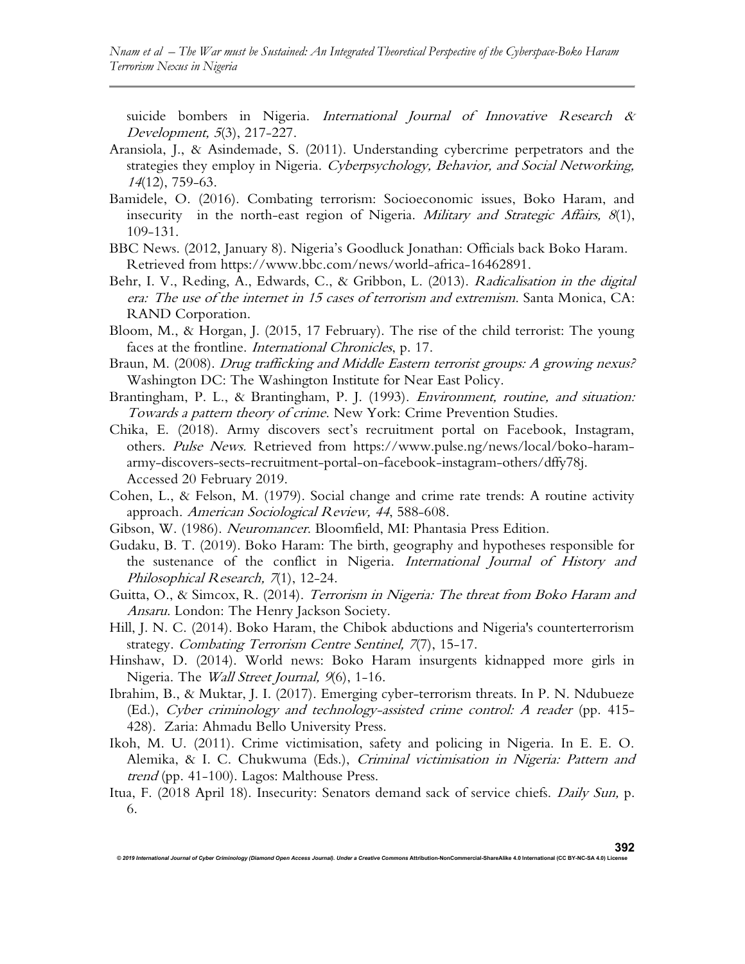suicide bombers in Nigeria. International Journal of Innovative Research & Development, 5(3), 217-227.

- Aransiola, J., & Asindemade, S. (2011). Understanding cybercrime perpetrators and the strategies they employ in Nigeria. Cyberpsychology, Behavior, and Social Networking, <sup>14</sup>(12), 759-63.
- Bamidele, O. (2016). Combating terrorism: Socioeconomic issues, Boko Haram, and insecurity in the north-east region of Nigeria. *Military and Strategic Affairs*,  $8(1)$ , 109-131.
- BBC News. (2012, January 8). Nigeria's Goodluck Jonathan: Officials back Boko Haram. Retrieved from https://www.bbc.com/news/world-africa-16462891.
- Behr, I. V., Reding, A., Edwards, C., & Gribbon, L. (2013). Radicalisation in the digital era: The use of the internet in 15 cases of terrorism and extremism. Santa Monica, CA: RAND Corporation.
- Bloom, M., & Horgan, J. (2015, 17 February). The rise of the child terrorist: The young faces at the frontline. *International Chronicles*, p. 17.
- Braun, M. (2008). *Drug trafficking and Middle Eastern terrorist groups: A growing nexus?* Washington DC: The Washington Institute for Near East Policy.
- Brantingham, P. L., & Brantingham, P. J. (1993). *Environment, routine, and situation:* Towards a pattern theory of crime. New York: Crime Prevention Studies.
- Chika, E. (2018). Army discovers sect's recruitment portal on Facebook, Instagram, others. Pulse News. Retrieved from https://www.pulse.ng/news/local/boko-haramarmy-discovers-sects-recruitment-portal-on-facebook-instagram-others/dffy78j. Accessed 20 February 2019.
- Cohen, L., & Felson, M. (1979). Social change and crime rate trends: A routine activity approach. American Sociological Review, 44, 588-608.
- Gibson, W. (1986). Neuromancer. Bloomfield, MI: Phantasia Press Edition.
- Gudaku, B. T. (2019). Boko Haram: The birth, geography and hypotheses responsible for the sustenance of the conflict in Nigeria. International Journal of History and Philosophical Research, 7(1), 12-24.
- Guitta, O., & Simcox, R. (2014). Terrorism in Nigeria: The threat from Boko Haram and Ansaru. London: The Henry Jackson Society.
- Hill, J. N. C. (2014). Boko Haram, the Chibok abductions and Nigeria's counterterrorism strategy. Combating Terrorism Centre Sentinel, 7(7), 15-17.
- Hinshaw, D. (2014). World news: Boko Haram insurgents kidnapped more girls in Nigeria. The Wall Street Journal, 9(6), 1-16.
- Ibrahim, B., & Muktar, J. I. (2017). Emerging cyber-terrorism threats. In P. N. Ndubueze (Ed.), Cyber criminology and technology-assisted crime control: A reader (pp. 415- 428). Zaria: Ahmadu Bello University Press.
- Ikoh, M. U. (2011). Crime victimisation, safety and policing in Nigeria. In E. E. O. Alemika, & I. C. Chukwuma (Eds.), Criminal victimisation in Nigeria: Pattern and trend (pp. 41-100). Lagos: Malthouse Press.
- Itua, F. (2018 April 18). Insecurity: Senators demand sack of service chiefs. Daily Sun, p. 6.

© 2019 International Journal of Cyber Criminology (Diamond Open Access Journal). Under a Creative Commons Attribution-NonCommercial-ShareAlike 4.0 International (CC BY-NC-SA 4.0) L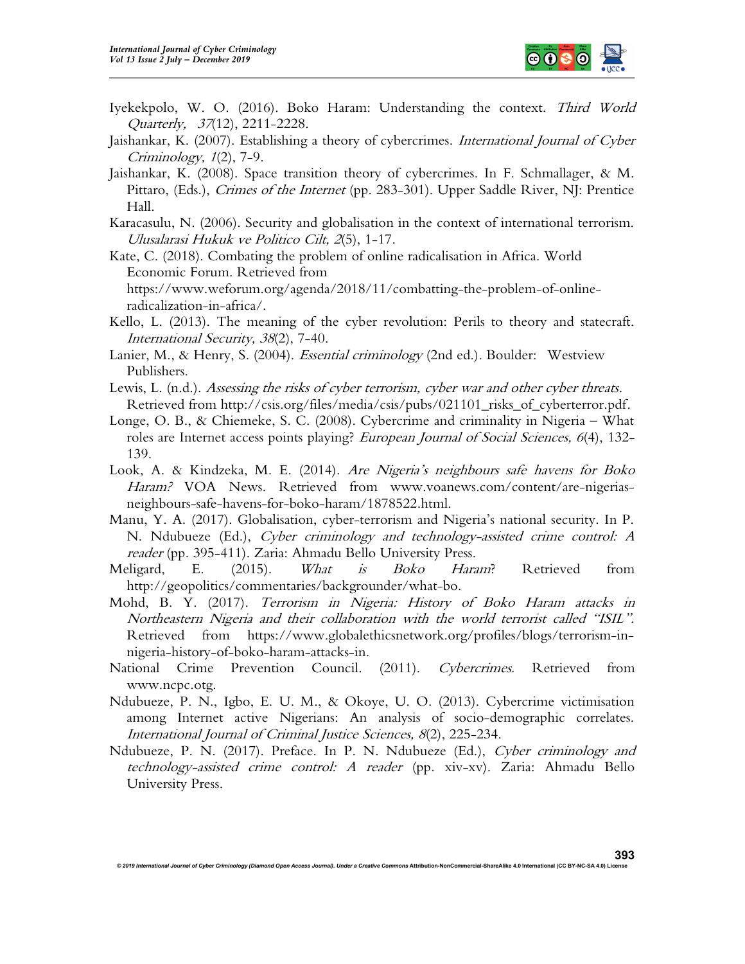

- Iyekekpolo, W. O. (2016). Boko Haram: Understanding the context. Third World Quarterly, 37(12), 2211-2228.
- Jaishankar, K. (2007). Establishing a theory of cybercrimes. International Journal of Cyber Criminology, 1(2), 7-9.
- Jaishankar, K. (2008). Space transition theory of cybercrimes. In F. Schmallager, & M. Pittaro, (Eds.), *Crimes of the Internet* (pp. 283-301). Upper Saddle River, NJ: Prentice Hall.
- Karacasulu, N. (2006). Security and globalisation in the context of international terrorism. Ulusalarasi Hukuk ve Politico Cilt, 2(5), 1-17.
- Kate, C. (2018). Combating the problem of online radicalisation in Africa. World Economic Forum. Retrieved from https://www.weforum.org/agenda/2018/11/combatting-the-problem-of-onlineradicalization-in-africa/.
- Kello, L. (2013). The meaning of the cyber revolution: Perils to theory and statecraft. International Security, 38(2), 7-40.
- Lanier, M., & Henry, S. (2004). *Essential criminology* (2nd ed.). Boulder: Westview Publishers.
- Lewis, L. (n.d.). Assessing the risks of cyber terrorism, cyber war and other cyber threats. Retrieved from http://csis.org/files/media/csis/pubs/021101\_risks\_of\_cyberterror.pdf.
- Longe, O. B., & Chiemeke, S. C. (2008). Cybercrime and criminality in Nigeria What roles are Internet access points playing? *European Journal of Social Sciences*, 6(4), 132-139.
- Look, A. & Kindzeka, M. E. (2014). Are Nigeria's neighbours safe havens for Boko Haram? VOA News. Retrieved from www.voanews.com/content/are-nigeriasneighbours-safe-havens-for-boko-haram/1878522.html.
- Manu, Y. A. (2017). Globalisation, cyber-terrorism and Nigeria's national security. In P. N. Ndubueze (Ed.), *Cyber criminology and technology-assisted crime control: A* reader (pp. 395-411). Zaria: Ahmadu Bello University Press.
- Meligard, E. (2015). *What is Boko Haram*? Retrieved from http://geopolitics/commentaries/backgrounder/what-bo.
- Mohd, B. Y. (2017). Terrorism in Nigeria: History of Boko Haram attacks in Northeastern Nigeria and their collaboration with the world terrorist called "ISIL". Retrieved from https://www.globalethicsnetwork.org/profiles/blogs/terrorism-innigeria-history-of-boko-haram-attacks-in.
- National Crime Prevention Council. (2011). Cybercrimes. Retrieved from www.ncpc.otg.
- Ndubueze, P. N., Igbo, E. U. M., & Okoye, U. O. (2013). Cybercrime victimisation among Internet active Nigerians: An analysis of socio-demographic correlates. International Journal of Criminal Justice Sciences, 8(2), 225-234.
- Ndubueze, P. N. (2017). Preface. In P. N. Ndubueze (Ed.), Cyber criminology and technology-assisted crime control: A reader (pp. xiv-xv). Zaria: Ahmadu Bello University Press.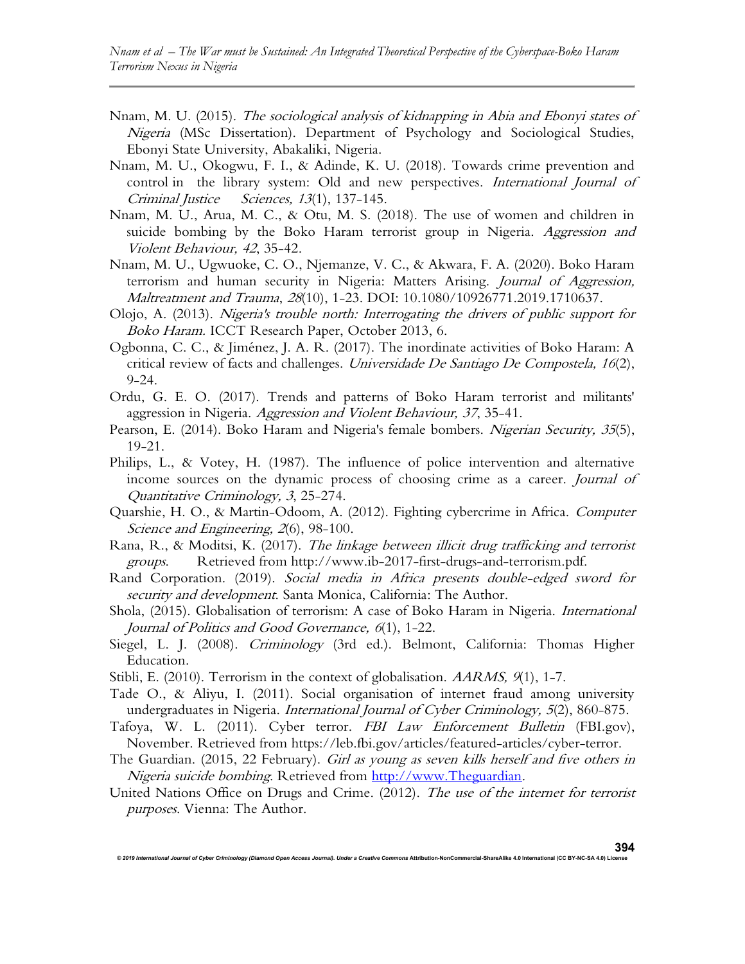- Nnam, M. U. (2015). The sociological analysis of kidnapping in Abia and Ebonyi states of Nigeria (MSc Dissertation). Department of Psychology and Sociological Studies, Ebonyi State University, Abakaliki, Nigeria.
- Nnam, M. U., Okogwu, F. I., & Adinde, K. U. (2018). Towards crime prevention and control in the library system: Old and new perspectives. International Journal of Criminal Justice Sciences, 13(1), 137-145.
- Nnam, M. U., Arua, M. C., & Otu, M. S. (2018). The use of women and children in suicide bombing by the Boko Haram terrorist group in Nigeria. Aggression and Violent Behaviour, 42, 35-42.
- Nnam, M. U., Ugwuoke, C. O., Njemanze, V. C., & Akwara, F. A. (2020). Boko Haram terrorism and human security in Nigeria: Matters Arising. Journal of Aggression, Maltreatment and Trauma, 28(10), 1-23. DOI: 10.1080/10926771.2019.1710637.
- Olojo, A. (2013). Nigeria's trouble north: Interrogating the drivers of public support for Boko Haram. ICCT Research Paper, October 2013, 6.
- Ogbonna, C. C., & Jiménez, J. A. R. (2017). The inordinate activities of Boko Haram: A critical review of facts and challenges. Universidade De Santiago De Compostela,  $16(2)$ , 9-24.
- Ordu, G. E. O. (2017). Trends and patterns of Boko Haram terrorist and militants' aggression in Nigeria. Aggression and Violent Behaviour, 37, 35-41.
- Pearson, E. (2014). Boko Haram and Nigeria's female bombers. Nigerian Security, 35(5), 19-21.
- Philips, L., & Votey, H. (1987). The influence of police intervention and alternative income sources on the dynamic process of choosing crime as a career. Journal of Quantitative Criminology, 3, 25-274.
- Quarshie, H. O., & Martin-Odoom, A. (2012). Fighting cybercrime in Africa. Computer Science and Engineering, 2(6), 98-100.
- Rana, R., & Moditsi, K. (2017). The linkage between illicit drug trafficking and terrorist groups. Retrieved from http://www.ib-2017-first-drugs-and-terrorism.pdf.
- Rand Corporation. (2019). Social media in Africa presents double-edged sword for security and development. Santa Monica, California: The Author.
- Shola, (2015). Globalisation of terrorism: A case of Boko Haram in Nigeria. International Journal of Politics and Good Governance, <sup>6</sup>(1), 1-22.
- Siegel, L. J. (2008). Criminology (3rd ed.). Belmont, California: Thomas Higher Education.
- Stibli, E. (2010). Terrorism in the context of globalisation. *AARMS*, 9(1), 1-7.
- Tade O., & Aliyu, I. (2011). Social organisation of internet fraud among university undergraduates in Nigeria. International Journal of Cyber Criminology, 5(2), 860-875.
- Tafoya, W. L. (2011). Cyber terror. FBI Law Enforcement Bulletin (FBI.gov), November. Retrieved from https://leb.fbi.gov/articles/featured-articles/cyber-terror.
- The Guardian. (2015, 22 February). Girl as young as seven kills herself and five others in Nigeria suicide bombing. Retrieved from http://www.Theguardian.
- United Nations Office on Drugs and Crime. (2012). The use of the internet for terrorist purposes. Vienna: The Author.

© 2019 International Journal of Cyber Criminology (Diamond Open Access Journal). Under a Creative Commons Attribution-NonCommercial-ShareAlike 4.0 International (CC BY-NC-SA 4.0) L